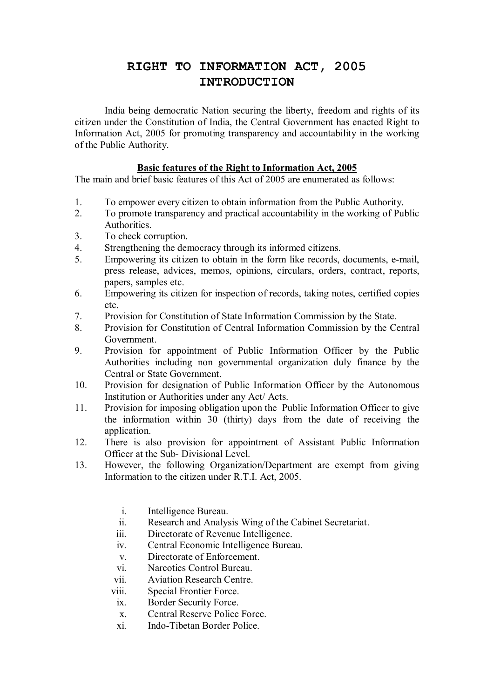## **RIGHT TO INFORMATION ACT, 2005 INTRODUCTION**

 India being democratic Nation securing the liberty, freedom and rights of its citizen under the Constitution of India, the Central Government has enacted Right to Information Act, 2005 for promoting transparency and accountability in the working of the Public Authority.

## **Basic features of the Right to Information Act, 2005**

The main and brief basic features of this Act of 2005 are enumerated as follows:

- 1. To empower every citizen to obtain information from the Public Authority.
- 2. To promote transparency and practical accountability in the working of Public **Authorities**
- 3. To check corruption.
- 4. Strengthening the democracy through its informed citizens.
- 5. Empowering its citizen to obtain in the form like records, documents, e-mail, press release, advices, memos, opinions, circulars, orders, contract, reports, papers, samples etc.
- 6. Empowering its citizen for inspection of records, taking notes, certified copies etc.
- 7. Provision for Constitution of State Information Commission by the State.
- 8. Provision for Constitution of Central Information Commission by the Central Government.
- 9. Provision for appointment of Public Information Officer by the Public Authorities including non governmental organization duly finance by the Central or State Government.
- 10. Provision for designation of Public Information Officer by the Autonomous Institution or Authorities under any Act/ Acts.
- 11. Provision for imposing obligation upon the Public Information Officer to give the information within 30 (thirty) days from the date of receiving the application.
- 12. There is also provision for appointment of Assistant Public Information Officer at the Sub- Divisional Level.
- 13. However, the following Organization/Department are exempt from giving Information to the citizen under R.T.I. Act, 2005.
	- i. Intelligence Bureau.
	- ii. Research and Analysis Wing of the Cabinet Secretariat.
	- iii. Directorate of Revenue Intelligence.
	- iv. Central Economic Intelligence Bureau.
	- v. Directorate of Enforcement.
	- vi. Narcotics Control Bureau.
	- vii. Aviation Research Centre.
	- viii. Special Frontier Force.
	- ix. Border Security Force.
	- x. Central Reserve Police Force.
	- xi. Indo-Tibetan Border Police.